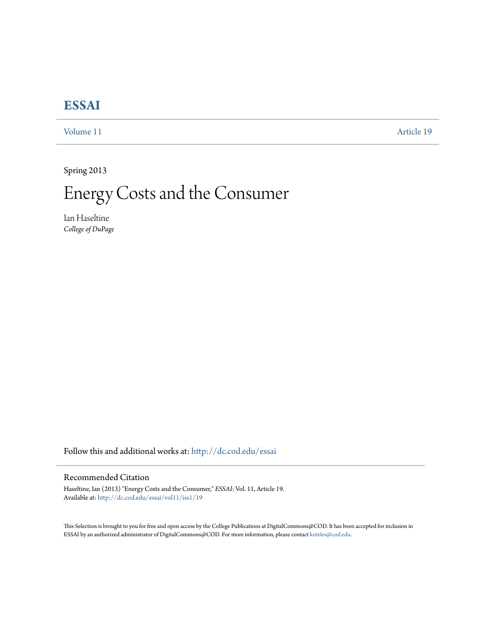## **[ESSAI](http://dc.cod.edu/essai?utm_source=dc.cod.edu%2Fessai%2Fvol11%2Fiss1%2F19&utm_medium=PDF&utm_campaign=PDFCoverPages)**

[Volume 11](http://dc.cod.edu/essai/vol11?utm_source=dc.cod.edu%2Fessai%2Fvol11%2Fiss1%2F19&utm_medium=PDF&utm_campaign=PDFCoverPages) [Article 19](http://dc.cod.edu/essai/vol11/iss1/19?utm_source=dc.cod.edu%2Fessai%2Fvol11%2Fiss1%2F19&utm_medium=PDF&utm_campaign=PDFCoverPages)

Spring 2013

Energy Costs and the Consumer

Ian Haseltine *College of DuPage*

Follow this and additional works at: [http://dc.cod.edu/essai](http://dc.cod.edu/essai?utm_source=dc.cod.edu%2Fessai%2Fvol11%2Fiss1%2F19&utm_medium=PDF&utm_campaign=PDFCoverPages)

## Recommended Citation

Haseltine, Ian (2013) "Energy Costs and the Consumer," *ESSAI*: Vol. 11, Article 19. Available at: [http://dc.cod.edu/essai/vol11/iss1/19](http://dc.cod.edu/essai/vol11/iss1/19?utm_source=dc.cod.edu%2Fessai%2Fvol11%2Fiss1%2F19&utm_medium=PDF&utm_campaign=PDFCoverPages)

This Selection is brought to you for free and open access by the College Publications at DigitalCommons@COD. It has been accepted for inclusion in ESSAI by an authorized administrator of DigitalCommons@COD. For more information, please contact [koteles@cod.edu](mailto:koteles@cod.edu).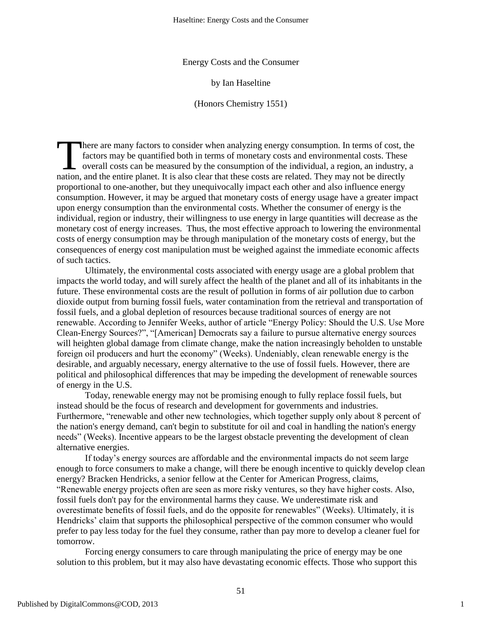Energy Costs and the Consumer

by Ian Haseltine

(Honors Chemistry 1551)

here are many factors to consider when analyzing energy consumption. In terms of cost, the factors may be quantified both in terms of monetary costs and environmental costs. These  $\Box$  overall costs can be measured by the consumption of the individual, a region, an industry, a There are many factors to consider when analyzing energy consumption. In terms of cost, the factors may be quantified both in terms of monetary costs and environmental costs. These overall costs can be measured by the cons proportional to one-another, but they unequivocally impact each other and also influence energy consumption. However, it may be argued that monetary costs of energy usage have a greater impact upon energy consumption than the environmental costs. Whether the consumer of energy is the individual, region or industry, their willingness to use energy in large quantities will decrease as the monetary cost of energy increases. Thus, the most effective approach to lowering the environmental costs of energy consumption may be through manipulation of the monetary costs of energy, but the consequences of energy cost manipulation must be weighed against the immediate economic affects of such tactics.

Ultimately, the environmental costs associated with energy usage are a global problem that impacts the world today, and will surely affect the health of the planet and all of its inhabitants in the future. These environmental costs are the result of pollution in forms of air pollution due to carbon dioxide output from burning fossil fuels, water contamination from the retrieval and transportation of fossil fuels, and a global depletion of resources because traditional sources of energy are not renewable. According to Jennifer Weeks, author of article "Energy Policy: Should the U.S. Use More Clean-Energy Sources?", "[American] Democrats say a failure to pursue alternative energy sources will heighten global damage from climate change, make the nation increasingly beholden to unstable foreign oil producers and hurt the economy" (Weeks). Undeniably, clean renewable energy is the desirable, and arguably necessary, energy alternative to the use of fossil fuels. However, there are political and philosophical differences that may be impeding the development of renewable sources of energy in the U.S.

Today, renewable energy may not be promising enough to fully replace fossil fuels, but instead should be the focus of research and development for governments and industries. Furthermore, "renewable and other new technologies, which together supply only about 8 percent of the nation's energy demand, can't begin to substitute for oil and coal in handling the nation's energy needs" (Weeks). Incentive appears to be the largest obstacle preventing the development of clean alternative energies.

If today's energy sources are affordable and the environmental impacts do not seem large enough to force consumers to make a change, will there be enough incentive to quickly develop clean energy? Bracken Hendricks, a senior fellow at the Center for American Progress, claims, ―Renewable energy projects often are seen as more risky ventures, so they have higher costs. Also, fossil fuels don't pay for the environmental harms they cause. We underestimate risk and overestimate benefits of fossil fuels, and do the opposite for renewables" (Weeks). Ultimately, it is Hendricks' claim that supports the philosophical perspective of the common consumer who would prefer to pay less today for the fuel they consume, rather than pay more to develop a cleaner fuel for tomorrow.

Forcing energy consumers to care through manipulating the price of energy may be one solution to this problem, but it may also have devastating economic effects. Those who support this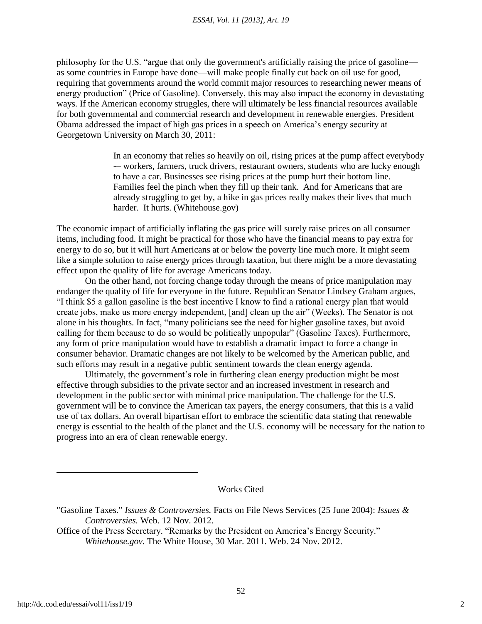philosophy for the U.S. "argue that only the government's artificially raising the price of gasoline as some countries in Europe have done—will make people finally cut back on oil use for good, requiring that governments around the world commit major resources to researching newer means of energy production" (Price of Gasoline). Conversely, this may also impact the economy in devastating ways. If the American economy struggles, there will ultimately be less financial resources available for both governmental and commercial research and development in renewable energies. President Obama addressed the impact of high gas prices in a speech on America's energy security at Georgetown University on March 30, 2011:

> In an economy that relies so heavily on oil, rising prices at the pump affect everybody -– workers, farmers, truck drivers, restaurant owners, students who are lucky enough to have a car. Businesses see rising prices at the pump hurt their bottom line. Families feel the pinch when they fill up their tank. And for Americans that are already struggling to get by, a hike in gas prices really makes their lives that much harder. It hurts. (Whitehouse.gov)

The economic impact of artificially inflating the gas price will surely raise prices on all consumer items, including food. It might be practical for those who have the financial means to pay extra for energy to do so, but it will hurt Americans at or below the poverty line much more. It might seem like a simple solution to raise energy prices through taxation, but there might be a more devastating effect upon the quality of life for average Americans today.

On the other hand, not forcing change today through the means of price manipulation may endanger the quality of life for everyone in the future. Republican Senator Lindsey Graham argues, ―I think \$5 a gallon gasoline is the best incentive I know to find a rational energy plan that would create jobs, make us more energy independent, [and] clean up the air" (Weeks). The Senator is not alone in his thoughts. In fact, "many politicians see the need for higher gasoline taxes, but avoid calling for them because to do so would be politically unpopular" (Gasoline Taxes). Furthermore, any form of price manipulation would have to establish a dramatic impact to force a change in consumer behavior. Dramatic changes are not likely to be welcomed by the American public, and such efforts may result in a negative public sentiment towards the clean energy agenda.

Ultimately, the government's role in furthering clean energy production might be most effective through subsidies to the private sector and an increased investment in research and development in the public sector with minimal price manipulation. The challenge for the U.S. government will be to convince the American tax payers, the energy consumers, that this is a valid use of tax dollars. An overall bipartisan effort to embrace the scientific data stating that renewable energy is essential to the health of the planet and the U.S. economy will be necessary for the nation to progress into an era of clean renewable energy.

Works Cited

<sup>&</sup>quot;Gasoline Taxes." *Issues & Controversies.* Facts on File News Services (25 June 2004): *Issues & Controversies.* Web. 12 Nov. 2012.

Office of the Press Secretary. "Remarks by the President on America's Energy Security." *Whitehouse.gov.* The White House, 30 Mar. 2011. Web. 24 Nov. 2012.